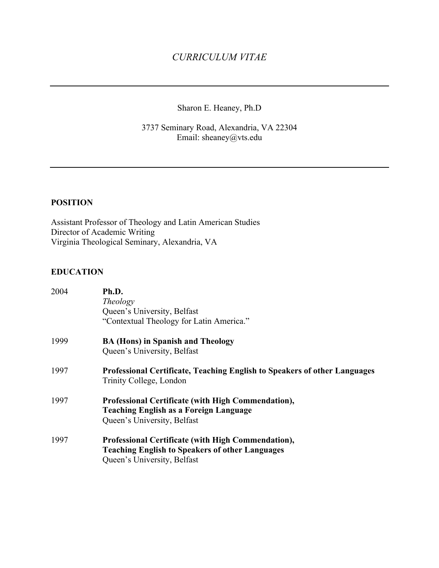# Sharon E. Heaney, Ph.D

3737 Seminary Road, Alexandria, VA 22304 Email: sheaney@vts.edu

# **POSITION**

Assistant Professor of Theology and Latin American Studies Director of Academic Writing Virginia Theological Seminary, Alexandria, VA

## **EDUCATION**

| 2004 | Ph.D.                                                                                                       |
|------|-------------------------------------------------------------------------------------------------------------|
|      | Theology                                                                                                    |
|      | Queen's University, Belfast                                                                                 |
|      | "Contextual Theology for Latin America."                                                                    |
| 1999 | <b>BA (Hons) in Spanish and Theology</b><br>Queen's University, Belfast                                     |
|      |                                                                                                             |
| 1997 | <b>Professional Certificate, Teaching English to Speakers of other Languages</b><br>Trinity College, London |
| 1997 | Professional Certificate (with High Commendation),<br><b>Teaching English as a Foreign Language</b>         |
|      | Queen's University, Belfast                                                                                 |
| 1997 | Professional Certificate (with High Commendation),                                                          |
|      | <b>Teaching English to Speakers of other Languages</b>                                                      |
|      | Queen's University, Belfast                                                                                 |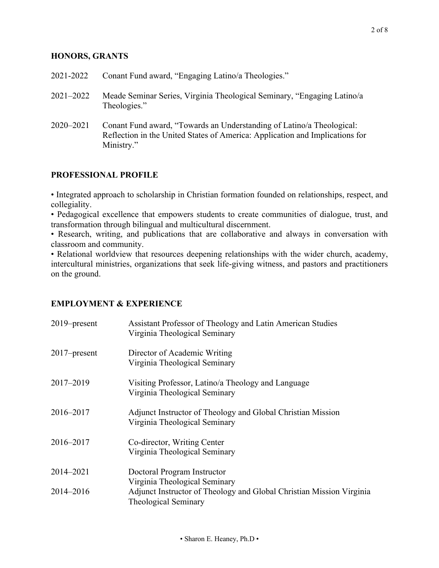# **HONORS, GRANTS**

| 2021-2022     | Conant Fund award, "Engaging Latino/a Theologies."                                                                                                                  |
|---------------|---------------------------------------------------------------------------------------------------------------------------------------------------------------------|
| 2021-2022     | Meade Seminar Series, Virginia Theological Seminary, "Engaging Latino/a<br>Theologies."                                                                             |
| $2020 - 2021$ | Conant Fund award, "Towards an Understanding of Latino/a Theological:<br>Reflection in the United States of America: Application and Implications for<br>Ministry." |

# **PROFESSIONAL PROFILE**

• Integrated approach to scholarship in Christian formation founded on relationships, respect, and collegiality.

• Pedagogical excellence that empowers students to create communities of dialogue, trust, and transformation through bilingual and multicultural discernment.

• Research, writing, and publications that are collaborative and always in conversation with classroom and community.

• Relational worldview that resources deepening relationships with the wider church, academy, intercultural ministries, organizations that seek life-giving witness, and pastors and practitioners on the ground.

# **EMPLOYMENT & EXPERIENCE**

| $2019$ -present | Assistant Professor of Theology and Latin American Studies<br>Virginia Theological Seminary  |
|-----------------|----------------------------------------------------------------------------------------------|
| $2017$ -present | Director of Academic Writing<br>Virginia Theological Seminary                                |
| 2017-2019       | Visiting Professor, Latino/a Theology and Language<br>Virginia Theological Seminary          |
| 2016–2017       | Adjunct Instructor of Theology and Global Christian Mission<br>Virginia Theological Seminary |
| 2016-2017       | Co-director, Writing Center<br>Virginia Theological Seminary                                 |
| 2014-2021       | Doctoral Program Instructor<br>Virginia Theological Seminary                                 |
| 2014-2016       | Adjunct Instructor of Theology and Global Christian Mission Virginia<br>Theological Seminary |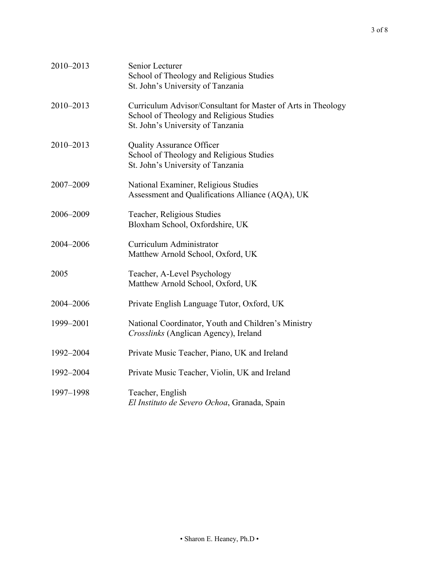| 2010-2013 | Senior Lecturer<br>School of Theology and Religious Studies<br>St. John's University of Tanzania                                              |
|-----------|-----------------------------------------------------------------------------------------------------------------------------------------------|
| 2010-2013 | Curriculum Advisor/Consultant for Master of Arts in Theology<br>School of Theology and Religious Studies<br>St. John's University of Tanzania |
| 2010-2013 | <b>Quality Assurance Officer</b><br>School of Theology and Religious Studies<br>St. John's University of Tanzania                             |
| 2007-2009 | National Examiner, Religious Studies<br>Assessment and Qualifications Alliance (AQA), UK                                                      |
| 2006-2009 | Teacher, Religious Studies<br>Bloxham School, Oxfordshire, UK                                                                                 |
| 2004-2006 | Curriculum Administrator<br>Matthew Arnold School, Oxford, UK                                                                                 |
| 2005      | Teacher, A-Level Psychology<br>Matthew Arnold School, Oxford, UK                                                                              |
| 2004-2006 | Private English Language Tutor, Oxford, UK                                                                                                    |
| 1999-2001 | National Coordinator, Youth and Children's Ministry<br>Crosslinks (Anglican Agency), Ireland                                                  |
| 1992-2004 | Private Music Teacher, Piano, UK and Ireland                                                                                                  |
| 1992-2004 | Private Music Teacher, Violin, UK and Ireland                                                                                                 |
| 1997-1998 | Teacher, English<br>El Instituto de Severo Ochoa, Granada, Spain                                                                              |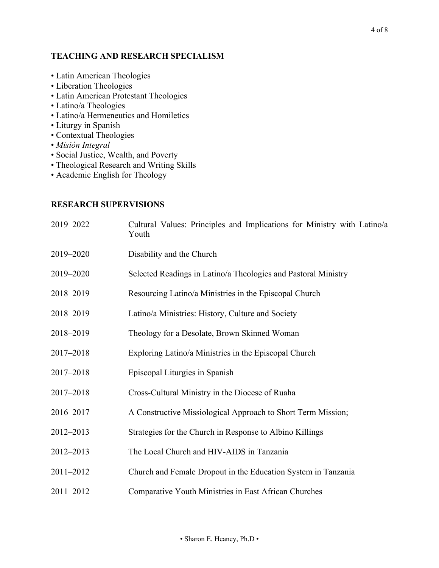# **TEACHING AND RESEARCH SPECIALISM**

- Latin American Theologies
- Liberation Theologies
- Latin American Protestant Theologies
- Latino/a Theologies
- Latino/a Hermeneutics and Homiletics
- Liturgy in Spanish
- Contextual Theologies
- *Misión Integral*
- Social Justice, Wealth, and Poverty
- Theological Research and Writing Skills
- Academic English for Theology

### **RESEARCH SUPERVISIONS**

2019–2022 Cultural Values: Principles and Implications for Ministry with Latino/a Youth 2019–2020 Disability and the Church 2019–2020 Selected Readings in Latino/a Theologies and Pastoral Ministry 2018–2019 Resourcing Latino/a Ministries in the Episcopal Church 2018–2019 Latino/a Ministries: History, Culture and Society 2018–2019 Theology for a Desolate, Brown Skinned Woman 2017–2018 Exploring Latino/a Ministries in the Episcopal Church 2017–2018 Episcopal Liturgies in Spanish 2017–2018 Cross-Cultural Ministry in the Diocese of Ruaha 2016–2017 A Constructive Missiological Approach to Short Term Mission; 2012–2013 Strategies for the Church in Response to Albino Killings 2012–2013 The Local Church and HIV-AIDS in Tanzania 2011–2012 Church and Female Dropout in the Education System in Tanzania 2011–2012 Comparative Youth Ministries in East African Churches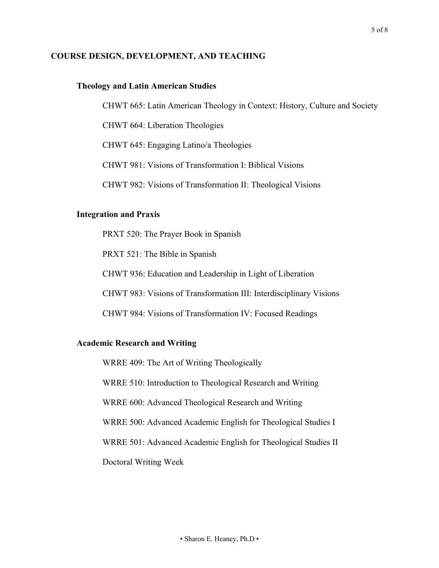#### **COURSE DESIGN, DEVELOPMENT, AND TEACHING**

#### **Theology and Latin American Studies**

CHWT 665: Latin American Theology in Context: History, Culture and Society

CHWT 664: Liberation Theologies

CHWT 645: Engaging Latino/a Theologies

CHWT 981: Visions of Transformation I: Biblical Visions

CHWT 982: Visions of Transformation II: Theological Visions

#### **Integration and Praxis**

PRXT 520: The Prayer Book in Spanish PRXT 521: The Bible in Spanish CHWT 936: Education and Leadership in Light of Liberation CHWT 983: Visions of Transformation III: Interdisciplinary Visions CHWT 984: Visions of Transformation IV: Focused Readings

### **Academic Research and Writing**

WRRE 409: The Art of Writing Theologically

WRRE 510: Introduction to Theological Research and Writing

WRRE 600: Advanced Theological Research and Writing

WRRE 500: Advanced Academic English for Theological Studies I

WRRE 501: Advanced Academic English for Theological Studies II

Doctoral Writing Week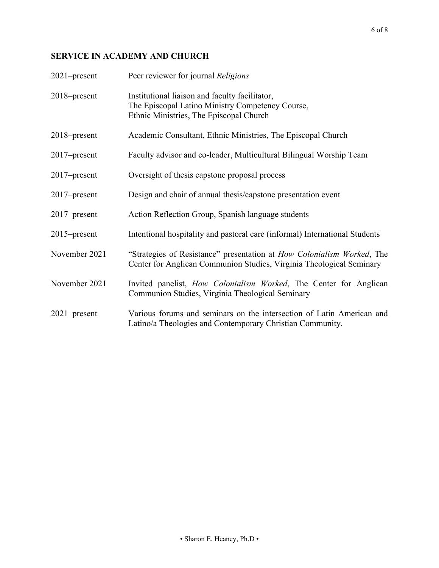# **SERVICE IN ACADEMY AND CHURCH**

| $2021$ -present | Peer reviewer for journal Religions                                                                                                            |
|-----------------|------------------------------------------------------------------------------------------------------------------------------------------------|
| $2018$ -present | Institutional liaison and faculty facilitator,<br>The Episcopal Latino Ministry Competency Course,<br>Ethnic Ministries, The Episcopal Church  |
| $2018$ -present | Academic Consultant, Ethnic Ministries, The Episcopal Church                                                                                   |
| $2017$ -present | Faculty advisor and co-leader, Multicultural Bilingual Worship Team                                                                            |
| $2017$ -present | Oversight of thesis capstone proposal process                                                                                                  |
| $2017$ -present | Design and chair of annual thesis/capstone presentation event                                                                                  |
| $2017$ -present | Action Reflection Group, Spanish language students                                                                                             |
| $2015$ -present | Intentional hospitality and pastoral care (informal) International Students                                                                    |
| November 2021   | "Strategies of Resistance" presentation at How Colonialism Worked, The<br>Center for Anglican Communion Studies, Virginia Theological Seminary |
| November 2021   | Invited panelist, How Colonialism Worked, The Center for Anglican<br>Communion Studies, Virginia Theological Seminary                          |
| $2021$ -present | Various forums and seminars on the intersection of Latin American and<br>Latino/a Theologies and Contemporary Christian Community.             |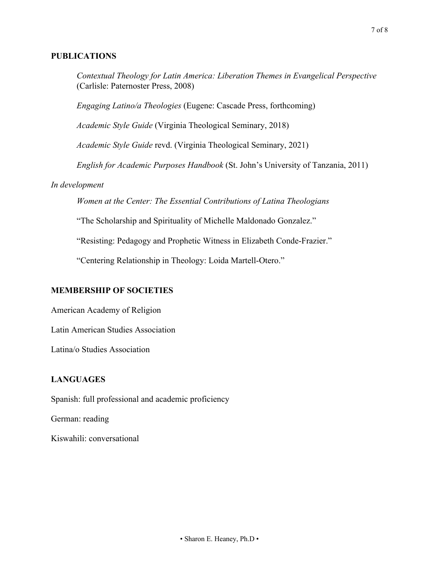### **PUBLICATIONS**

*Contextual Theology for Latin America: Liberation Themes in Evangelical Perspective*  (Carlisle: Paternoster Press, 2008)

*Engaging Latino/a Theologies* (Eugene: Cascade Press, forthcoming)

*Academic Style Guide* (Virginia Theological Seminary, 2018)

*Academic Style Guide* revd. (Virginia Theological Seminary, 2021)

*English for Academic Purposes Handbook* (St. John's University of Tanzania, 2011)

### *In development*

*Women at the Center: The Essential Contributions of Latina Theologians*

"The Scholarship and Spirituality of Michelle Maldonado Gonzalez."

"Resisting: Pedagogy and Prophetic Witness in Elizabeth Conde-Frazier."

"Centering Relationship in Theology: Loida Martell-Otero."

### **MEMBERSHIP OF SOCIETIES**

American Academy of Religion

Latin American Studies Association

Latina/o Studies Association

### **LANGUAGES**

Spanish: full professional and academic proficiency

German: reading

Kiswahili: conversational